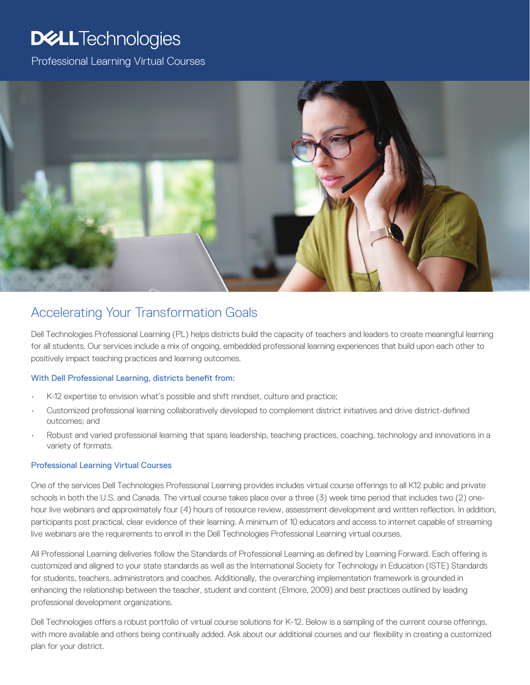# **DELL**Technologies

Professional Learning Virtual Courses



# Accelerating Your Transformation Goals

Dell Technologies Professional Learning (PL) helps districts build the capacity of teachers and leaders to create meaningful learning for all students. Our services include a mix of ongoing, embedded professional learning experiences that build upon each other to positively impact teaching practices and learning outcomes.

#### With Dell Professional Learning, districts benefit from:

- K-12 expertise to envision what's possible and shift mindset, culture and practice;
- Customized professional learning collaboratively developed to complement district initiatives and drive district-defined outcomes; and
- Robust and varied professional learning that spans leadership, teaching practices, coaching, technology and innovations in a variety of formats.

#### Professional Learning Virtual Courses

One of the services Dell Technologies Professional Learning provides includes virtual course offerings to all K12 public and private schools in both the U.S. and Canada. The virtual course takes place over a three (3) week time period that includes two (2) onehour live webinars and approximately four (4) hours of resource review, assessment development and written reflection. In addition, participants post practical, clear evidence of their learning. A minimum of 10 educators and access to internet capable of streaming live webinars are the requirements to enroll in the Dell Technologies Professional Learning virtual courses.

All Professional Learning deliveries follow the Standards of Professional Learning as defined by Learning Forward. Each offering is customized and aligned to your state standards as well as the International Society for Technology in Education (ISTE) Standards for students, teachers, administrators and coaches. Additionally, the overarching implementation framework is grounded in enhancing the relationship between the teacher, student and content (Elmore, 2009) and best practices outlined by leading professional development organizations.

Dell Technologies offers a robust portfolio of virtual course solutions for K-12. Below is a sampling of the current course offerings, with more available and others being continually added. Ask about our additional courses and our flexibility in creating a customized plan for your district.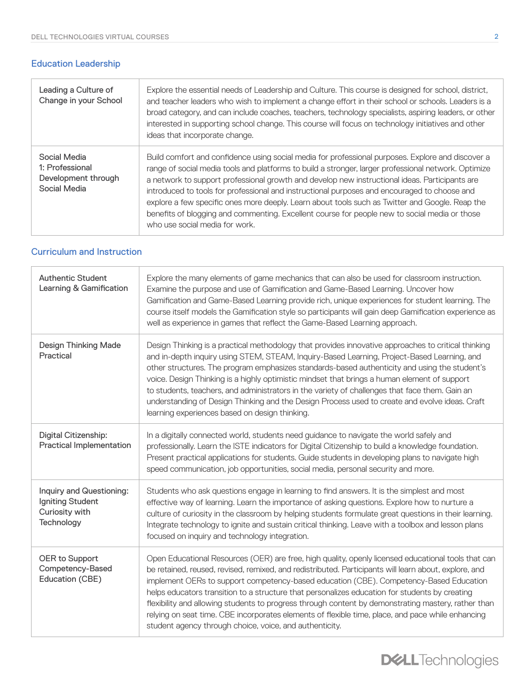## Education Leadership

| Leading a Culture of<br>Change in your School                          | Explore the essential needs of Leadership and Culture. This course is designed for school, district,<br>and teacher leaders who wish to implement a change effort in their school or schools. Leaders is a<br>broad category, and can include coaches, teachers, technology specialists, aspiring leaders, or other<br>interested in supporting school change. This course will focus on technology initiatives and other<br>ideas that incorporate change.                                                                                                                                                                                       |
|------------------------------------------------------------------------|---------------------------------------------------------------------------------------------------------------------------------------------------------------------------------------------------------------------------------------------------------------------------------------------------------------------------------------------------------------------------------------------------------------------------------------------------------------------------------------------------------------------------------------------------------------------------------------------------------------------------------------------------|
| Social Media<br>1: Professional<br>Development through<br>Social Media | Build comfort and confidence using social media for professional purposes. Explore and discover a<br>range of social media tools and platforms to build a stronger, larger professional network. Optimize<br>a network to support professional growth and develop new instructional ideas. Participants are<br>introduced to tools for professional and instructional purposes and encouraged to choose and<br>explore a few specific ones more deeply. Learn about tools such as Twitter and Google. Reap the<br>benefits of blogging and commenting. Excellent course for people new to social media or those<br>who use social media for work. |

### Cu[rriculum and Instruction](https://bit.ly/2H8eGez)

| <b>Authentic Student</b><br>Learning & Gamification                          | Explore the many elements of game mechanics that can also be used for classroom instruction.<br>Examine the purpose and use of Gamification and Game-Based Learning. Uncover how<br>Gamification and Game-Based Learning provide rich, unique experiences for student learning. The<br>course itself models the Gamification style so participants will gain deep Gamification experience as<br>well as experience in games that reflect the Game-Based Learning approach.                                                                                                                                                                                                      |
|------------------------------------------------------------------------------|---------------------------------------------------------------------------------------------------------------------------------------------------------------------------------------------------------------------------------------------------------------------------------------------------------------------------------------------------------------------------------------------------------------------------------------------------------------------------------------------------------------------------------------------------------------------------------------------------------------------------------------------------------------------------------|
| <b>Design Thinking Made</b><br>Practical                                     | Design Thinking is a practical methodology that provides innovative approaches to critical thinking<br>and in-depth inquiry using STEM, STEAM, Inquiry-Based Learning, Project-Based Learning, and<br>other structures. The program emphasizes standards-based authenticity and using the student's<br>voice. Design Thinking is a highly optimistic mindset that brings a human element of support<br>to students, teachers, and administrators in the variety of challenges that face them. Gain an<br>understanding of Design Thinking and the Design Process used to create and evolve ideas. Craft<br>learning experiences based on design thinking.                       |
| Digital Citizenship:<br><b>Practical Implementation</b>                      | In a digitally connected world, students need guidance to navigate the world safely and<br>professionally. Learn the ISTE indicators for Digital Citizenship to build a knowledge foundation.<br>Present practical applications for students. Guide students in developing plans to navigate high<br>speed communication, job opportunities, social media, personal security and more.                                                                                                                                                                                                                                                                                          |
| Inquiry and Questioning:<br>Igniting Student<br>Curiosity with<br>Technology | Students who ask questions engage in learning to find answers. It is the simplest and most<br>effective way of learning. Learn the importance of asking questions. Explore how to nurture a<br>culture of curiosity in the classroom by helping students formulate great questions in their learning.<br>Integrate technology to ignite and sustain critical thinking. Leave with a toolbox and lesson plans<br>focused on inquiry and technology integration.                                                                                                                                                                                                                  |
| OER to Support<br>Competency-Based<br>Education (CBE)                        | Open Educational Resources (OER) are free, high quality, openly licensed educational tools that can<br>be retained, reused, revised, remixed, and redistributed. Participants will learn about, explore, and<br>implement OERs to support competency-based education (CBE). Competency-Based Education<br>helps educators transition to a structure that personalizes education for students by creating<br>flexibility and allowing students to progress through content by demonstrating mastery, rather than<br>relying on seat time. CBE incorporates elements of flexible time, place, and pace while enhancing<br>student agency through choice, voice, and authenticity. |

**DELL**Technologies